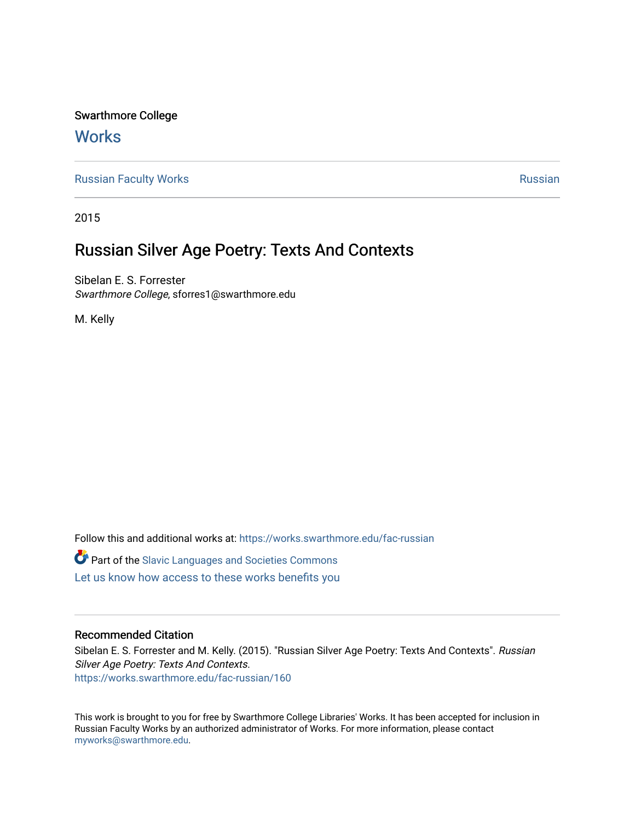Swarthmore College

# **Works**

[Russian Faculty Works](https://works.swarthmore.edu/fac-russian) **Russian** [Russian](https://works.swarthmore.edu/russian) Russian Russian

2015

# Russian Silver Age Poetry: Texts And Contexts

Sibelan E. S. Forrester Swarthmore College, sforres1@swarthmore.edu

M. Kelly

Follow this and additional works at: [https://works.swarthmore.edu/fac-russian](https://works.swarthmore.edu/fac-russian?utm_source=works.swarthmore.edu%2Ffac-russian%2F160&utm_medium=PDF&utm_campaign=PDFCoverPages) 

**C** Part of the Slavic Languages and Societies Commons

[Let us know how access to these works benefits you](https://forms.gle/4MB8mE2GywC5965J8) 

# Recommended Citation

Sibelan E. S. Forrester and M. Kelly. (2015). "Russian Silver Age Poetry: Texts And Contexts". Russian Silver Age Poetry: Texts And Contexts. <https://works.swarthmore.edu/fac-russian/160>

This work is brought to you for free by Swarthmore College Libraries' Works. It has been accepted for inclusion in Russian Faculty Works by an authorized administrator of Works. For more information, please contact [myworks@swarthmore.edu.](mailto:myworks@swarthmore.edu)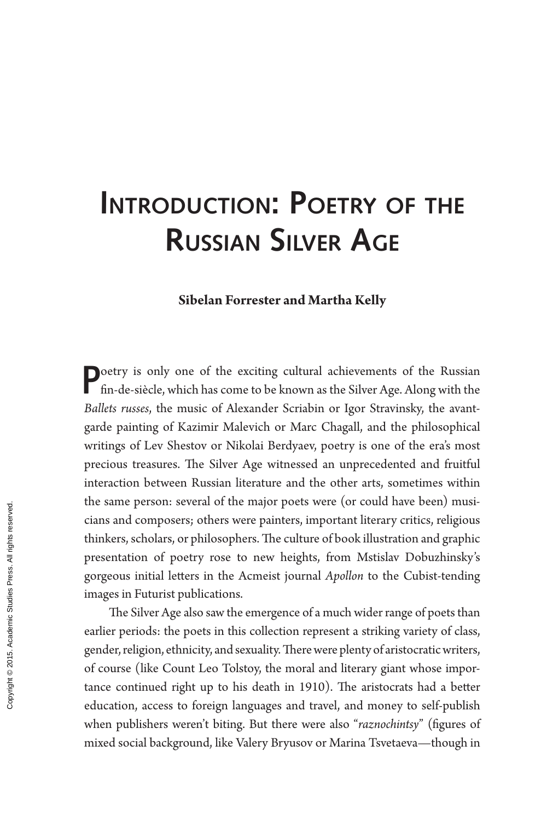# **Introduction: Poetry of the Russian Silver Age**

# **Sibelan Forrester and Martha Kelly**

**Poetry** is only one of the exciting cultural achievements of the Russian fin-de-siècle, which has come to be known as the Silver Age. Along with the *Ballets russes*, the music of Alexander Scriabin or Igor Stravinsky, the avantgarde painting of Kazimir Malevich or Marc Chagall, and the philosophical writings of Lev Shestov or Nikolai Berdyaev, poetry is one of the era's most precious treasures. The Silver Age witnessed an unprecedented and fruitful interaction between Russian literature and the other arts, sometimes within the same person: several of the major poets were (or could have been) musicians and composers; others were painters, important literary critics, religious thinkers, scholars, or philosophers. The culture of book illustration and graphic presentation of poetry rose to new heights, from Mstislav Dobuzhinsky's gorgeous initial letters in the Acmeist journal *Apollon* to the Cubist-tending images in Futurist publications.

The Silver Age also saw the emergence of a much wider range of poets than earlier periods: the poets in this collection represent a striking variety of class, gender, religion, ethnicity, and sexuality. There were plenty of aristocratic writers, of course (like Count Leo Tolstoy, the moral and literary giant whose importance continued right up to his death in 1910). The aristocrats had a better education, access to foreign languages and travel, and money to self-publish when publishers weren't biting. But there were also "*raznochintsy*" (figures of mixed social background, like Valery Bryusov or Marina Tsvetaeva—though in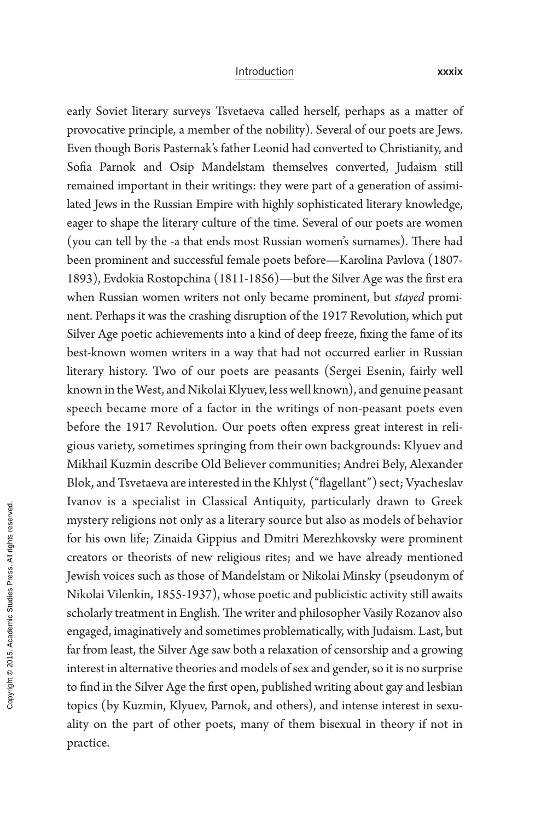#### Introduction **xxxix**

early Soviet literary surveys Tsvetaeva called herself, perhaps as a matter of provocative principle, a member of the nobility). Several of our poets are Jews. Even though Boris Pasternak's father Leonid had converted to Christianity, and Sofia Parnok and Osip Mandelstam themselves converted, Judaism still remained important in their writings: they were part of a generation of assimilated Jews in the Russian Empire with highly sophisticated literary knowledge, eager to shape the literary culture of the time. Several of our poets are women (you can tell by the -a that ends most Russian women's surnames). There had been prominent and successful female poets before—Karolina Pavlova (1807- 1893), Evdokia Rostopchina (1811-1856)—but the Silver Age was the first era when Russian women writers not only became prominent, but *stayed* prominent. Perhaps it was the crashing disruption of the 1917 Revolution, which put Silver Age poetic achievements into a kind of deep freeze, fixing the fame of its best-known women writers in a way that had not occurred earlier in Russian literary history. Two of our poets are peasants (Sergei Esenin, fairly well known in the West, and Nikolai Klyuev, less well known), and genuine peasant speech became more of a factor in the writings of non-peasant poets even before the 1917 Revolution. Our poets often express great interest in religious variety, sometimes springing from their own backgrounds: Klyuev and Mikhail Kuzmin describe Old Believer communities; Andrei Bely, Alexander Blok, and Tsvetaeva are interested in the Khlyst ("flagellant") sect; Vyacheslav Ivanov is a specialist in Classical Antiquity, particularly drawn to Greek mystery religions not only as a literary source but also as models of behavior for his own life; Zinaida Gippius and Dmitri Merezhkovsky were prominent creators or theorists of new religious rites; and we have already mentioned Jewish voices such as those of Mandelstam or Nikolai Minsky (pseudonym of Nikolai Vilenkin, 1855-1937), whose poetic and publicistic activity still awaits scholarly treatment in English. The writer and philosopher Vasily Rozanov also engaged, imaginatively and sometimes problematically, with Judaism. Last, but far from least, the Silver Age saw both a relaxation of censorship and a growing interest in alternative theories and models of sex and gender, so it is no surprise to find in the Silver Age the first open, published writing about gay and lesbian topics (by Kuzmin, Klyuev, Parnok, and others), and intense interest in sexuality on the part of other poets, many of them bisexual in theory if not in practice.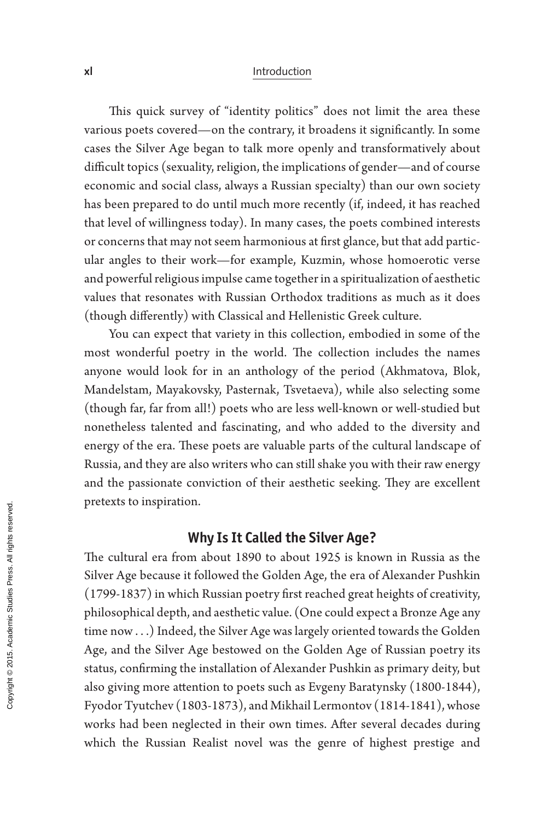#### **xl** Introduction

This quick survey of "identity politics" does not limit the area these various poets covered—on the contrary, it broadens it significantly. In some cases the Silver Age began to talk more openly and transformatively about difficult topics (sexuality, religion, the implications of gender—and of course economic and social class, always a Russian specialty) than our own society has been prepared to do until much more recently (if, indeed, it has reached that level of willingness today). In many cases, the poets combined interests or concerns that may not seem harmonious at first glance, but that add particular angles to their work—for example, Kuzmin, whose homoerotic verse and powerful religious impulse came together in a spiritualization of aesthetic values that resonates with Russian Orthodox traditions as much as it does (though differently) with Classical and Hellenistic Greek culture.

You can expect that variety in this collection, embodied in some of the most wonderful poetry in the world. The collection includes the names anyone would look for in an anthology of the period (Akhmatova, Blok, Mandelstam, Mayakovsky, Pasternak, Tsvetaeva), while also selecting some (though far, far from all!) poets who are less well-known or well-studied but nonetheless talented and fascinating, and who added to the diversity and energy of the era. These poets are valuable parts of the cultural landscape of Russia, and they are also writers who can still shake you with their raw energy and the passionate conviction of their aesthetic seeking. They are excellent pretexts to inspiration.

## **Why Is It Called the Silver Age?**

The cultural era from about 1890 to about 1925 is known in Russia as the Silver Age because it followed the Golden Age, the era of Alexander Pushkin (1799-1837) in which Russian poetry first reached great heights of creativity, philosophical depth, and aesthetic value. (One could expect a Bronze Age any time now . . .) Indeed, the Silver Age was largely oriented towards the Golden Age, and the Silver Age bestowed on the Golden Age of Russian poetry its status, confirming the installation of Alexander Pushkin as primary deity, but also giving more attention to poets such as Evgeny Baratynsky (1800-1844), Fyodor Tyutchev (1803-1873), and Mikhail Lermontov (1814-1841), whose works had been neglected in their own times. After several decades during which the Russian Realist novel was the genre of highest prestige and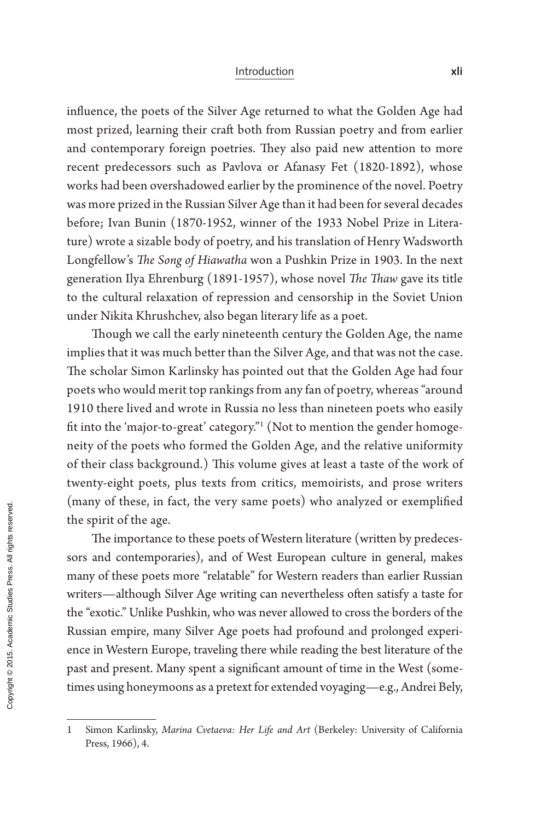#### Introduction **xli**

influence, the poets of the Silver Age returned to what the Golden Age had most prized, learning their craft both from Russian poetry and from earlier and contemporary foreign poetries. They also paid new attention to more recent predecessors such as Pavlova or Afanasy Fet (1820-1892), whose works had been overshadowed earlier by the prominence of the novel. Poetry was more prized in the Russian Silver Age than it had been for several decades before; Ivan Bunin (1870-1952, winner of the 1933 Nobel Prize in Literature) wrote a sizable body of poetry, and his translation of Henry Wadsworth Longfellow's *The Song of Hiawatha* won a Pushkin Prize in 1903. In the next generation Ilya Ehrenburg (1891-1957), whose novel *The Thaw* gave its title to the cultural relaxation of repression and censorship in the Soviet Union under Nikita Khrushchev, also began literary life as a poet.

Though we call the early nineteenth century the Golden Age, the name implies that it was much better than the Silver Age, and that was not the case. The scholar Simon Karlinsky has pointed out that the Golden Age had four poets who would merit top rankings from any fan of poetry, whereas "around 1910 there lived and wrote in Russia no less than nineteen poets who easily fit into the 'major-to-great' category."1 (Not to mention the gender homogeneity of the poets who formed the Golden Age, and the relative uniformity of their class background.) This volume gives at least a taste of the work of twenty-eight poets, plus texts from critics, memoirists, and prose writers (many of these, in fact, the very same poets) who analyzed or exemplified the spirit of the age.

The importance to these poets of Western literature (written by predecessors and contemporaries), and of West European culture in general, makes many of these poets more "relatable" for Western readers than earlier Russian writers—although Silver Age writing can nevertheless often satisfy a taste for the "exotic." Unlike Pushkin, who was never allowed to cross the borders of the Russian empire, many Silver Age poets had profound and prolonged experience in Western Europe, traveling there while reading the best literature of the past and present. Many spent a significant amount of time in the West (sometimes using honeymoons as a pretext for extended voyaging—e.g., Andrei Bely,

<sup>1</sup> Simon Karlinsky, *Marina Cvetaeva: Her Life and Art* (Berkeley: University of California Press, 1966), 4.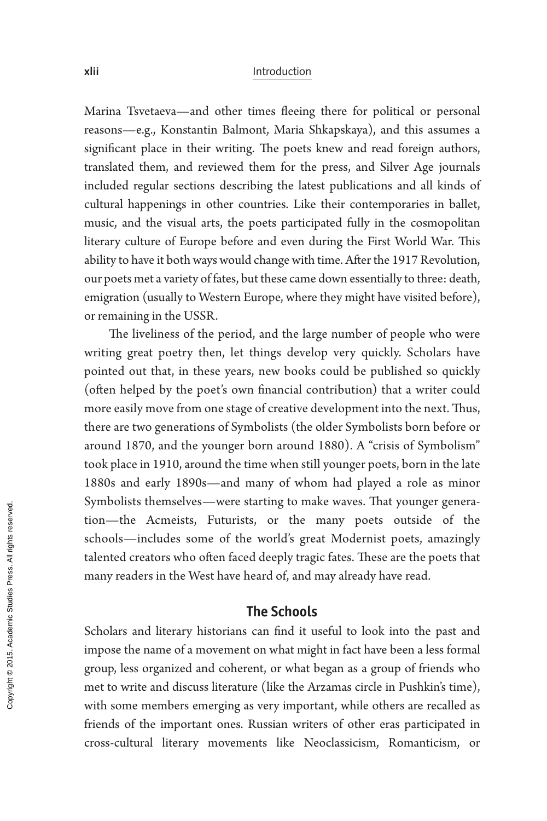#### **xlii** Introduction

Marina Tsvetaeva—and other times fleeing there for political or personal reasons—e.g., Konstantin Balmont, Maria Shkapskaya), and this assumes a significant place in their writing. The poets knew and read foreign authors, translated them, and reviewed them for the press, and Silver Age journals included regular sections describing the latest publications and all kinds of cultural happenings in other countries. Like their contemporaries in ballet, music, and the visual arts, the poets participated fully in the cosmopolitan literary culture of Europe before and even during the First World War. This ability to have it both ways would change with time. After the 1917 Revolution, our poets met a variety of fates, but these came down essentially to three: death, emigration (usually to Western Europe, where they might have visited before), or remaining in the USSR.

The liveliness of the period, and the large number of people who were writing great poetry then, let things develop very quickly. Scholars have pointed out that, in these years, new books could be published so quickly (often helped by the poet's own financial contribution) that a writer could more easily move from one stage of creative development into the next. Thus, there are two generations of Symbolists (the older Symbolists born before or around 1870, and the younger born around 1880). A "crisis of Symbolism" took place in 1910, around the time when still younger poets, born in the late 1880s and early 1890s—and many of whom had played a role as minor Symbolists themselves—were starting to make waves. That younger generation—the Acmeists, Futurists, or the many poets outside of the schools—includes some of the world's great Modernist poets, amazingly talented creators who often faced deeply tragic fates. These are the poets that many readers in the West have heard of, and may already have read.

# **The Schools**

Scholars and literary historians can find it useful to look into the past and impose the name of a movement on what might in fact have been a less formal group, less organized and coherent, or what began as a group of friends who met to write and discuss literature (like the Arzamas circle in Pushkin's time), with some members emerging as very important, while others are recalled as friends of the important ones. Russian writers of other eras participated in cross-cultural literary movements like Neoclassicism, Romanticism, or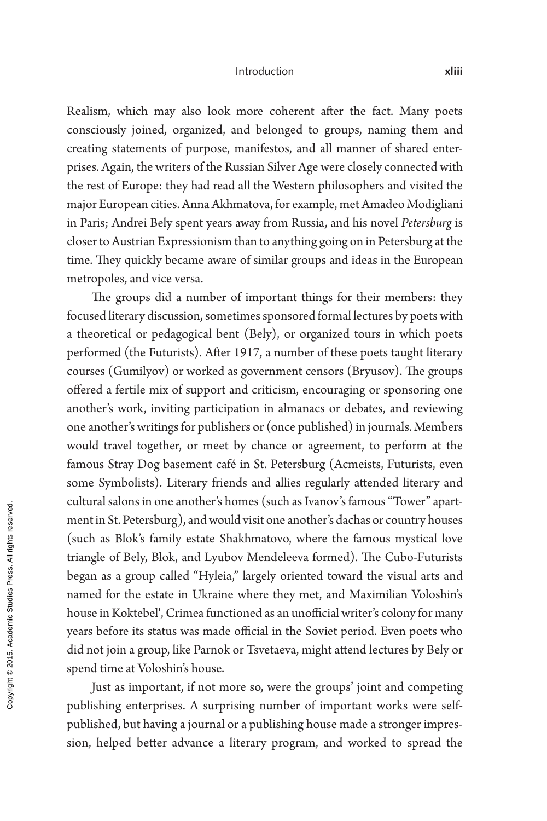#### Introduction **xliii**

Realism, which may also look more coherent after the fact. Many poets consciously joined, organized, and belonged to groups, naming them and creating statements of purpose, manifestos, and all manner of shared enterprises. Again, the writers of the Russian Silver Age were closely connected with the rest of Europe: they had read all the Western philosophers and visited the major European cities. Anna Akhmatova, for example, met Amadeo Modigliani in Paris; Andrei Bely spent years away from Russia, and his novel *Petersburg* is closer to Austrian Expressionism than to anything going on in Petersburg at the time. They quickly became aware of similar groups and ideas in the European metropoles, and vice versa.

The groups did a number of important things for their members: they focused literary discussion, sometimes sponsored formal lectures by poets with a theoretical or pedagogical bent (Bely), or organized tours in which poets performed (the Futurists). After 1917, a number of these poets taught literary courses (Gumilyov) or worked as government censors (Bryusov). The groups offered a fertile mix of support and criticism, encouraging or sponsoring one another's work, inviting participation in almanacs or debates, and reviewing one another's writings for publishers or (once published) in journals. Members would travel together, or meet by chance or agreement, to perform at the famous Stray Dog basement café in St. Petersburg (Acmeists, Futurists, even some Symbolists). Literary friends and allies regularly attended literary and cultural salons in one another's homes (such as Ivanov's famous "Tower" apartment in St. Petersburg), and would visit one another's dachas or country houses (such as Blok's family estate Shakhmatovo, where the famous mystical love triangle of Bely, Blok, and Lyubov Mendeleeva formed). The Cubo-Futurists began as a group called "Hyleia," largely oriented toward the visual arts and named for the estate in Ukraine where they met, and Maximilian Voloshin's house in Koktebel', Crimea functioned as an unofficial writer's colony for many years before its status was made official in the Soviet period. Even poets who did not join a group, like Parnok or Tsvetaeva, might attend lectures by Bely or spend time at Voloshin's house.

Just as important, if not more so, were the groups' joint and competing publishing enterprises. A surprising number of important works were selfpublished, but having a journal or a publishing house made a stronger impression, helped better advance a literary program, and worked to spread the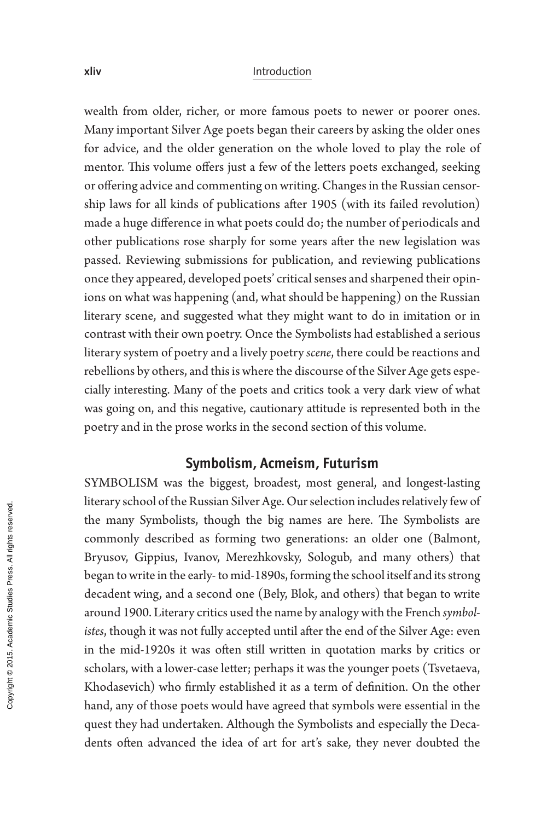#### **xliv** Introduction

wealth from older, richer, or more famous poets to newer or poorer ones. Many important Silver Age poets began their careers by asking the older ones for advice, and the older generation on the whole loved to play the role of mentor. This volume offers just a few of the letters poets exchanged, seeking or offering advice and commenting on writing. Changes in the Russian censorship laws for all kinds of publications after 1905 (with its failed revolution) made a huge difference in what poets could do; the number of periodicals and other publications rose sharply for some years after the new legislation was passed. Reviewing submissions for publication, and reviewing publications once they appeared, developed poets' critical senses and sharpened their opinions on what was happening (and, what should be happening) on the Russian literary scene, and suggested what they might want to do in imitation or in contrast with their own poetry. Once the Symbolists had established a serious literary system of poetry and a lively poetry *scene*, there could be reactions and rebellions by others, and this is where the discourse of the Silver Age gets especially interesting. Many of the poets and critics took a very dark view of what was going on, and this negative, cautionary attitude is represented both in the poetry and in the prose works in the second section of this volume.

# **Symbolism, Acmeism, Futurism**

SYMBOLISM was the biggest, broadest, most general, and longest-lasting literary school of the Russian Silver Age. Our selection includes relatively few of the many Symbolists, though the big names are here. The Symbolists are commonly described as forming two generations: an older one (Balmont, Bryusov, Gippius, Ivanov, Merezhkovsky, Sologub, and many others) that began to write in the early- to mid-1890s, forming the school itself and its strong decadent wing, and a second one (Bely, Blok, and others) that began to write around 1900. Literary critics used the name by analogy with the French *symbolistes*, though it was not fully accepted until after the end of the Silver Age: even in the mid-1920s it was often still written in quotation marks by critics or scholars, with a lower-case letter; perhaps it was the younger poets (Tsvetaeva, Khodasevich) who firmly established it as a term of definition. On the other hand, any of those poets would have agreed that symbols were essential in the quest they had undertaken. Although the Symbolists and especially the Decadents often advanced the idea of art for art's sake, they never doubted the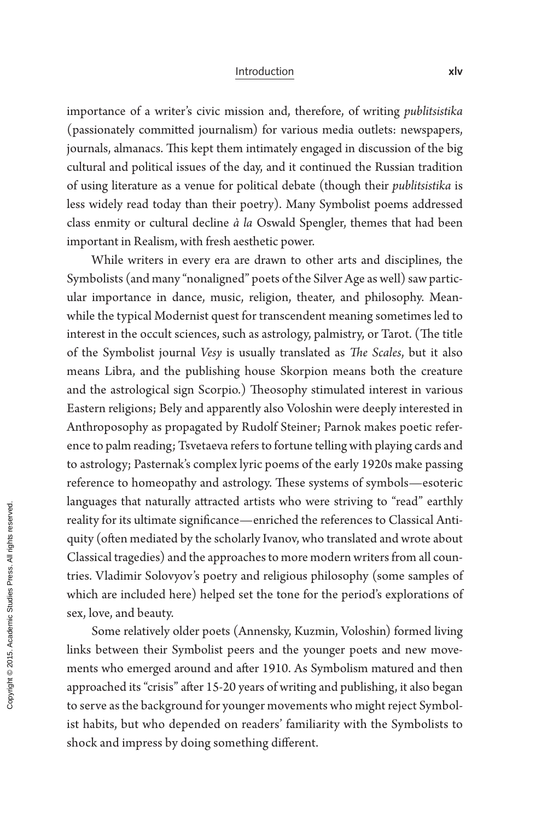#### Introduction **xlv**

importance of a writer's civic mission and, therefore, of writing *publitsistika* (passionately committed journalism) for various media outlets: newspapers, journals, almanacs. This kept them intimately engaged in discussion of the big cultural and political issues of the day, and it continued the Russian tradition of using literature as a venue for political debate (though their *publitsistika* is less widely read today than their poetry). Many Symbolist poems addressed class enmity or cultural decline *à la* Oswald Spengler, themes that had been important in Realism, with fresh aesthetic power.

While writers in every era are drawn to other arts and disciplines, the Symbolists (and many "nonaligned" poets of the Silver Age as well) saw particular importance in dance, music, religion, theater, and philosophy. Meanwhile the typical Modernist quest for transcendent meaning sometimes led to interest in the occult sciences, such as astrology, palmistry, or Tarot. (The title of the Symbolist journal *Vesy* is usually translated as *The Scales*, but it also means Libra, and the publishing house Skorpion means both the creature and the astrological sign Scorpio.) Theosophy stimulated interest in various Eastern religions; Bely and apparently also Voloshin were deeply interested in Anthroposophy as propagated by Rudolf Steiner; Parnok makes poetic reference to palm reading; Tsvetaeva refers to fortune telling with playing cards and to astrology; Pasternak's complex lyric poems of the early 1920s make passing reference to homeopathy and astrology. These systems of symbols—esoteric languages that naturally attracted artists who were striving to "read" earthly reality for its ultimate significance—enriched the references to Classical Antiquity (often mediated by the scholarly Ivanov, who translated and wrote about Classical tragedies) and the approaches to more modern writers from all countries. Vladimir Solovyov's poetry and religious philosophy (some samples of which are included here) helped set the tone for the period's explorations of sex, love, and beauty.

Some relatively older poets (Annensky, Kuzmin, Voloshin) formed living links between their Symbolist peers and the younger poets and new movements who emerged around and after 1910. As Symbolism matured and then approached its "crisis" after 15-20 years of writing and publishing, it also began to serve as the background for younger movements who might reject Symbolist habits, but who depended on readers' familiarity with the Symbolists to shock and impress by doing something different.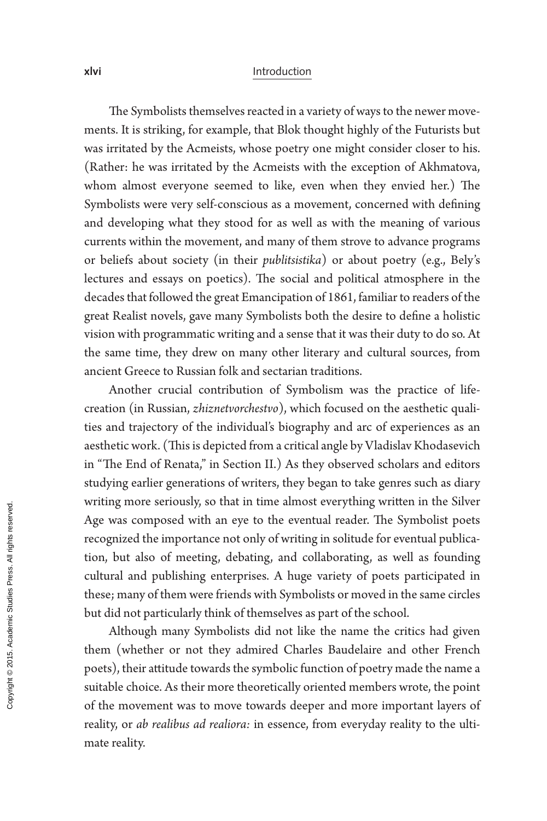#### **xlvi** Introduction

The Symbolists themselves reacted in a variety of ways to the newer movements. It is striking, for example, that Blok thought highly of the Futurists but was irritated by the Acmeists, whose poetry one might consider closer to his. (Rather: he was irritated by the Acmeists with the exception of Akhmatova, whom almost everyone seemed to like, even when they envied her.) The Symbolists were very self-conscious as a movement, concerned with defining and developing what they stood for as well as with the meaning of various currents within the movement, and many of them strove to advance programs or beliefs about society (in their *publitsistika*) or about poetry (e.g., Bely's lectures and essays on poetics). The social and political atmosphere in the decades that followed the great Emancipation of 1861, familiar to readers of the great Realist novels, gave many Symbolists both the desire to define a holistic vision with programmatic writing and a sense that it was their duty to do so. At the same time, they drew on many other literary and cultural sources, from ancient Greece to Russian folk and sectarian traditions.

Another crucial contribution of Symbolism was the practice of lifecreation (in Russian, *zhiznetvorchestvo*), which focused on the aesthetic qualities and trajectory of the individual's biography and arc of experiences as an aesthetic work. (This is depicted from a critical angle by Vladislav Khodasevich in "The End of Renata," in Section II.) As they observed scholars and editors studying earlier generations of writers, they began to take genres such as diary writing more seriously, so that in time almost everything written in the Silver Age was composed with an eye to the eventual reader. The Symbolist poets recognized the importance not only of writing in solitude for eventual publication, but also of meeting, debating, and collaborating, as well as founding cultural and publishing enterprises. A huge variety of poets participated in these; many of them were friends with Symbolists or moved in the same circles but did not particularly think of themselves as part of the school.

Although many Symbolists did not like the name the critics had given them (whether or not they admired Charles Baudelaire and other French poets), their attitude towards the symbolic function of poetry made the name a suitable choice. As their more theoretically oriented members wrote, the point of the movement was to move towards deeper and more important layers of reality, or *ab realibus ad realiora:* in essence, from everyday reality to the ultimate reality.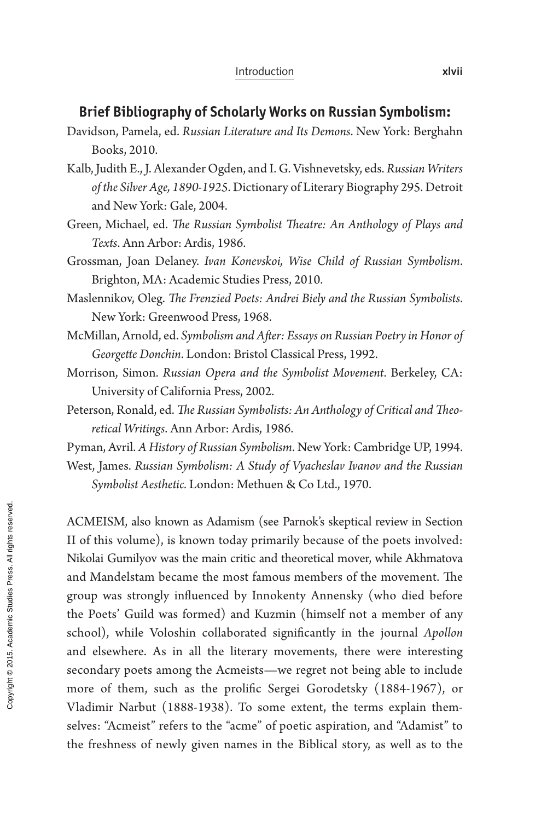# **Brief Bibliography of Scholarly Works on Russian Symbolism:**

- Davidson, Pamela, ed. *Russian Literature and Its Demons*. New York: Berghahn Books, 2010.
- Kalb, Judith E., J. Alexander Ogden, and I. G. Vishnevetsky, eds. *Russian Writers of the Silver Age, 1890-1925*. Dictionary of Literary Biography 295. Detroit and New York: Gale, 2004.
- Green, Michael, ed. *The Russian Symbolist Theatre: An Anthology of Plays and Texts*. Ann Arbor: Ardis, 1986.
- Grossman, Joan Delaney. *Ivan Konevskoi, Wise Child of Russian Symbolism*. Brighton, MA: Academic Studies Press, 2010.
- Maslennikov, Oleg. *The Frenzied Poets: Andrei Biely and the Russian Symbolists*. New York: Greenwood Press, 1968.
- McMillan, Arnold, ed. *Symbolism and After: Essays on Russian Poetry in Honor of Georgette Donchin*. London: Bristol Classical Press, 1992.
- Morrison, Simon. *Russian Opera and the Symbolist Movement*. Berkeley, CA: University of California Press, 2002.
- Peterson, Ronald, ed. *The Russian Symbolists: An Anthology of Critical and Theoretical Writings*. Ann Arbor: Ardis, 1986.
- Pyman, Avril. *A History of Russian Symbolism*. New York: Cambridge UP, 1994.

West, James. *Russian Symbolism: A Study of Vyacheslav Ivanov and the Russian Symbolist Aesthetic.* London: Methuen & Co Ltd., 1970.

ACMEISM, also known as Adamism (see Parnok's skeptical review in Section II of this volume), is known today primarily because of the poets involved: Nikolai Gumilyov was the main critic and theoretical mover, while Akhmatova and Mandelstam became the most famous members of the movement. The group was strongly influenced by Innokenty Annensky (who died before the Poets' Guild was formed) and Kuzmin (himself not a member of any school), while Voloshin collaborated significantly in the journal *Apollon* and elsewhere. As in all the literary movements, there were interesting secondary poets among the Acmeists—we regret not being able to include more of them, such as the prolific Sergei Gorodetsky (1884-1967), or Vladimir Narbut (1888-1938). To some extent, the terms explain themselves: "Acmeist" refers to the "acme" of poetic aspiration, and "Adamist" to the freshness of newly given names in the Biblical story, as well as to the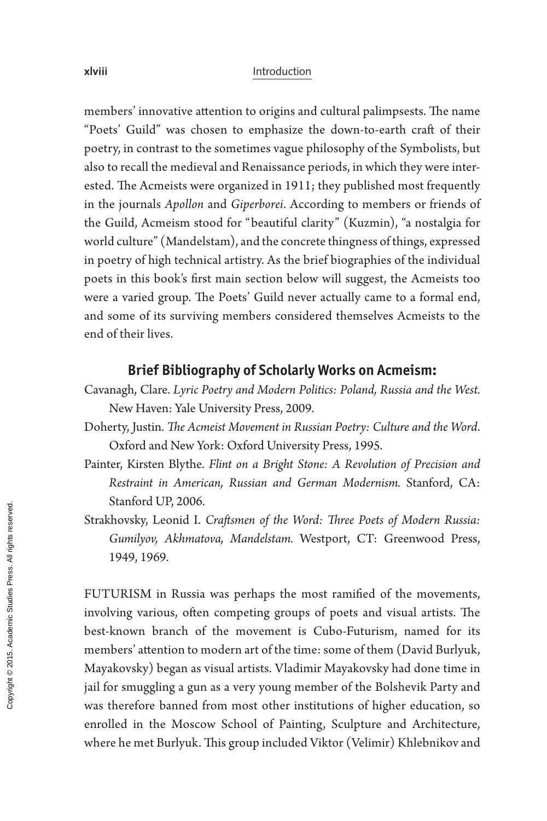members' innovative attention to origins and cultural palimpsests. The name "Poets' Guild" was chosen to emphasize the down-to-earth craft of their poetry, in contrast to the sometimes vague philosophy of the Symbolists, but also to recall the medieval and Renaissance periods, in which they were interested. The Acmeists were organized in 1911; they published most frequently in the journals *Apollon* and *Giperborei*. According to members or friends of the Guild, Acmeism stood for "beautiful clarity" (Kuzmin), "a nostalgia for world culture" (Mandelstam), and the concrete thingness of things, expressed in poetry of high technical artistry. As the brief biographies of the individual poets in this book's first main section below will suggest, the Acmeists too were a varied group. The Poets' Guild never actually came to a formal end, and some of its surviving members considered themselves Acmeists to the end of their lives.

# **Brief Bibliography of Scholarly Works on Acmeism:**

- Cavanagh, Clare. *Lyric Poetry and Modern Politics: Poland, Russia and the West.* New Haven: Yale University Press, 2009.
- Doherty, Justin. *The Acmeist Movement in Russian Poetry: Culture and the Word*. Oxford and New York: Oxford University Press, 1995.
- Painter, Kirsten Blythe. *Flint on a Bright Stone: A Revolution of Precision and Restraint in American, Russian and German Modernism.* Stanford, CA: Stanford UP, 2006.
- Strakhovsky, Leonid I. *Craftsmen of the Word: Three Poets of Modern Russia: Gumilyov, Akhmatova, Mandelstam.* Westport, CT: Greenwood Press, 1949, 1969.

FUTURISM in Russia was perhaps the most ramified of the movements, involving various, often competing groups of poets and visual artists. The best-known branch of the movement is Cubo-Futurism, named for its members' attention to modern art of the time: some of them (David Burlyuk, Mayakovsky) began as visual artists. Vladimir Mayakovsky had done time in jail for smuggling a gun as a very young member of the Bolshevik Party and was therefore banned from most other institutions of higher education, so enrolled in the Moscow School of Painting, Sculpture and Architecture, where he met Burlyuk. This group included Viktor (Velimir) Khlebnikov and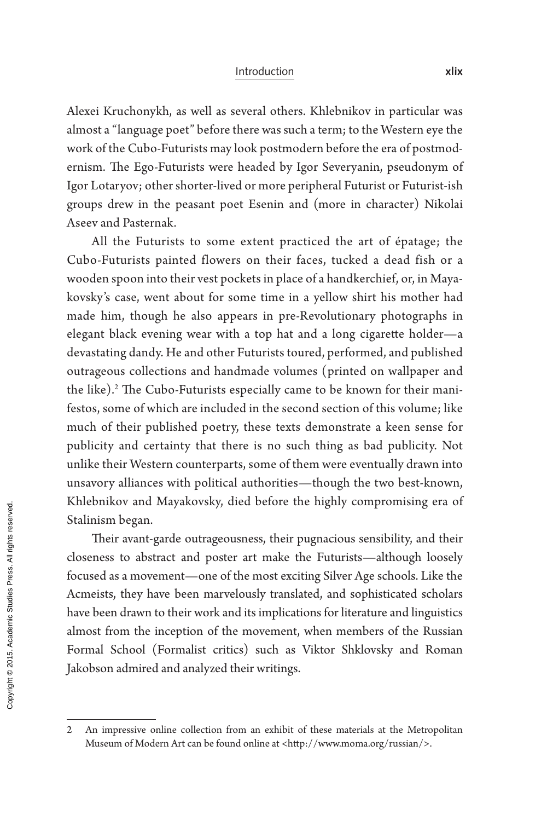#### Introduction **xlix**

Alexei Kruchonykh, as well as several others. Khlebnikov in particular was almost a "language poet" before there was such a term; to the Western eye the work of the Cubo-Futurists may look postmodern before the era of postmodernism. The Ego-Futurists were headed by Igor Severyanin, pseudonym of Igor Lotaryov; other shorter-lived or more peripheral Futurist or Futurist-ish groups drew in the peasant poet Esenin and (more in character) Nikolai Aseev and Pasternak.

All the Futurists to some extent practiced the art of épatage; the Cubo-Futurists painted flowers on their faces, tucked a dead fish or a wooden spoon into their vest pockets in place of a handkerchief, or, in Mayakovsky's case, went about for some time in a yellow shirt his mother had made him, though he also appears in pre-Revolutionary photographs in elegant black evening wear with a top hat and a long cigarette holder—a devastating dandy. He and other Futurists toured, performed, and published outrageous collections and handmade volumes (printed on wallpaper and the like).2 The Cubo-Futurists especially came to be known for their manifestos, some of which are included in the second section of this volume; like much of their published poetry, these texts demonstrate a keen sense for publicity and certainty that there is no such thing as bad publicity. Not unlike their Western counterparts, some of them were eventually drawn into unsavory alliances with political authorities—though the two best-known, Khlebnikov and Mayakovsky, died before the highly compromising era of Stalinism began.

Their avant-garde outrageousness, their pugnacious sensibility, and their closeness to abstract and poster art make the Futurists—although loosely focused as a movement—one of the most exciting Silver Age schools. Like the Acmeists, they have been marvelously translated, and sophisticated scholars have been drawn to their work and its implications for literature and linguistics almost from the inception of the movement, when members of the Russian Formal School (Formalist critics) such as Viktor Shklovsky and Roman Jakobson admired and analyzed their writings.

<sup>2</sup> An impressive online collection from an exhibit of these materials at the Metropolitan Museum of Modern Art can be found online at <http://www.moma.org/russian/>.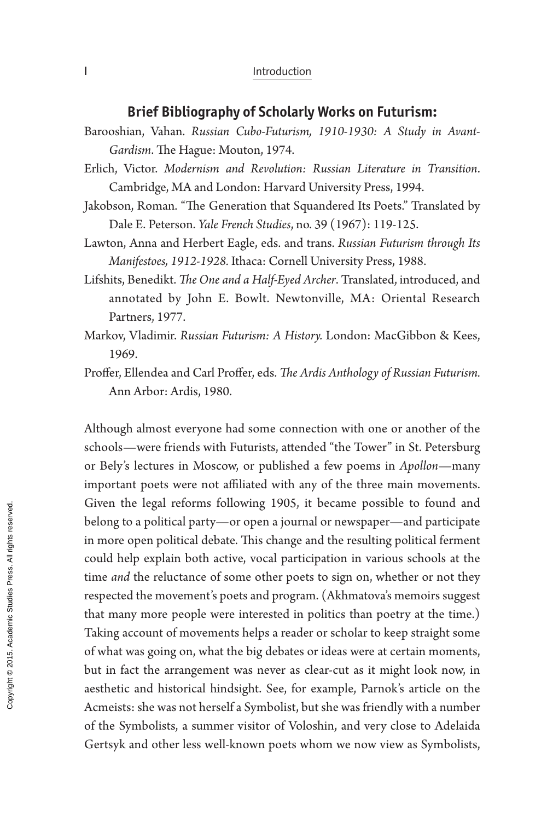# **Brief Bibliography of Scholarly Works on Futurism:**

- Barooshian, Vahan. *Russian Cubo-Futurism, 1910-1930: A Study in Avant-Gardism*. The Hague: Mouton, 1974.
- Erlich, Victor. *Modernism and Revolution: Russian Literature in Transition*. Cambridge, MA and London: Harvard University Press, 1994.
- Jakobson, Roman. "The Generation that Squandered Its Poets." Translated by Dale E. Peterson. *Yale French Studies*, no. 39 (1967): 119-125.
- Lawton, Anna and Herbert Eagle, eds. and trans. *Russian Futurism through Its Manifestoes, 1912-1928.* Ithaca: Cornell University Press, 1988.
- Lifshits, Benedikt. *The One and a Half-Eyed Archer*. Translated, introduced, and annotated by John E. Bowlt. Newtonville, MA: Oriental Research Partners, 1977.
- Markov, Vladimir. *Russian Futurism: A History.* London: MacGibbon & Kees, 1969.
- Proffer, Ellendea and Carl Proffer, eds. *The Ardis Anthology of Russian Futurism.* Ann Arbor: Ardis, 1980.

Although almost everyone had some connection with one or another of the schools—were friends with Futurists, attended "the Tower" in St. Petersburg or Bely's lectures in Moscow, or published a few poems in *Apollon*—many important poets were not affiliated with any of the three main movements. Given the legal reforms following 1905, it became possible to found and belong to a political party—or open a journal or newspaper—and participate in more open political debate. This change and the resulting political ferment could help explain both active, vocal participation in various schools at the time *and* the reluctance of some other poets to sign on, whether or not they respected the movement's poets and program. (Akhmatova's memoirs suggest that many more people were interested in politics than poetry at the time.) Taking account of movements helps a reader or scholar to keep straight some of what was going on, what the big debates or ideas were at certain moments, but in fact the arrangement was never as clear-cut as it might look now, in aesthetic and historical hindsight. See, for example, Parnok's article on the Acmeists: she was not herself a Symbolist, but she was friendly with a number of the Symbolists, a summer visitor of Voloshin, and very close to Adelaida Gertsyk and other less well-known poets whom we now view as Symbolists,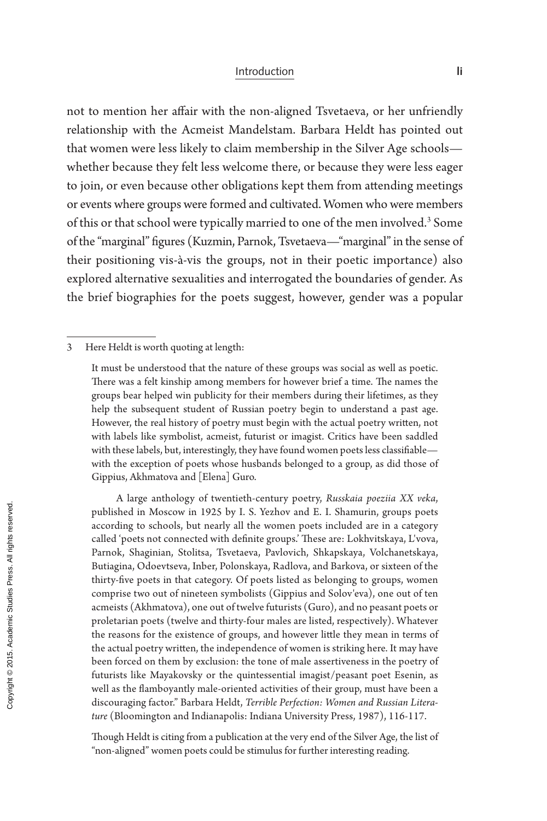#### Introduction **li**

not to mention her affair with the non-aligned Tsvetaeva, or her unfriendly relationship with the Acmeist Mandelstam. Barbara Heldt has pointed out that women were less likely to claim membership in the Silver Age schools whether because they felt less welcome there, or because they were less eager to join, or even because other obligations kept them from attending meetings or events where groups were formed and cultivated. Women who were members of this or that school were typically married to one of the men involved.<sup>3</sup> Some of the "marginal" figures (Kuzmin, Parnok, Tsvetaeva—"marginal" in the sense of their positioning vis-à-vis the groups, not in their poetic importance) also explored alternative sexualities and interrogated the boundaries of gender. As the brief biographies for the poets suggest, however, gender was a popular

#### 3 Here Heldt is worth quoting at length:

A large anthology of twentieth-century poetry, *Russkaia poeziia XX veka*, published in Moscow in 1925 by I. S. Yezhov and E. I. Shamurin, groups poets according to schools, but nearly all the women poets included are in a category called 'poets not connected with definite groups.' These are: Lokhvitskaya, L'vova, Parnok, Shaginian, Stolitsa, Tsvetaeva, Pavlovich, Shkapskaya, Volchanetskaya, Butiagina, Odoevtseva, Inber, Polonskaya, Radlova, and Barkova, or sixteen of the thirty-five poets in that category. Of poets listed as belonging to groups, women comprise two out of nineteen symbolists (Gippius and Solov'eva), one out of ten acmeists (Akhmatova), one out of twelve futurists (Guro), and no peasant poets or proletarian poets (twelve and thirty-four males are listed, respectively). Whatever the reasons for the existence of groups, and however little they mean in terms of the actual poetry written, the independence of women is striking here. It may have been forced on them by exclusion: the tone of male assertiveness in the poetry of futurists like Mayakovsky or the quintessential imagist/peasant poet Esenin, as well as the flamboyantly male-oriented activities of their group, must have been a discouraging factor." Barbara Heldt, *Terrible Perfection: Women and Russian Literature* (Bloomington and Indianapolis: Indiana University Press, 1987), 116-117.

Though Heldt is citing from a publication at the very end of the Silver Age, the list of "non-aligned" women poets could be stimulus for further interesting reading.

It must be understood that the nature of these groups was social as well as poetic. There was a felt kinship among members for however brief a time. The names the groups bear helped win publicity for their members during their lifetimes, as they help the subsequent student of Russian poetry begin to understand a past age. However, the real history of poetry must begin with the actual poetry written, not with labels like symbolist, acmeist, futurist or imagist. Critics have been saddled with these labels, but, interestingly, they have found women poets less classifiable with the exception of poets whose husbands belonged to a group, as did those of Gippius, Akhmatova and [Elena] Guro.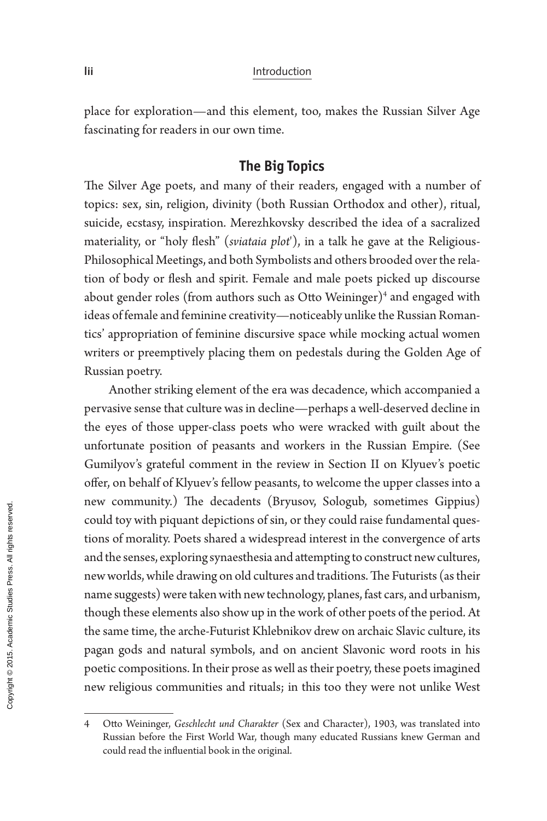place for exploration—and this element, too, makes the Russian Silver Age fascinating for readers in our own time.

# **The Big Topics**

The Silver Age poets, and many of their readers, engaged with a number of topics: sex, sin, religion, divinity (both Russian Orthodox and other), ritual, suicide, ecstasy, inspiration. Merezhkovsky described the idea of a sacralized materiality, or "holy flesh" (*sviataia plot*'), in a talk he gave at the Religious-Philosophical Meetings, and both Symbolists and others brooded over the relation of body or flesh and spirit. Female and male poets picked up discourse about gender roles (from authors such as Otto Weininger)<sup>4</sup> and engaged with ideas of female and feminine creativity—noticeably unlike the Russian Romantics' appropriation of feminine discursive space while mocking actual women writers or preemptively placing them on pedestals during the Golden Age of Russian poetry.

Another striking element of the era was decadence, which accompanied a pervasive sense that culture was in decline—perhaps a well-deserved decline in the eyes of those upper-class poets who were wracked with guilt about the unfortunate position of peasants and workers in the Russian Empire. (See Gumilyov's grateful comment in the review in Section II on Klyuev's poetic offer, on behalf of Klyuev's fellow peasants, to welcome the upper classes into a new community.) The decadents (Bryusov, Sologub, sometimes Gippius) could toy with piquant depictions of sin, or they could raise fundamental questions of morality. Poets shared a widespread interest in the convergence of arts and the senses, exploring synaesthesia and attempting to construct new cultures, new worlds, while drawing on old cultures and traditions. The Futurists (as their name suggests) were taken with new technology, planes, fast cars, and urbanism, though these elements also show up in the work of other poets of the period. At the same time, the arche-Futurist Khlebnikov drew on archaic Slavic culture, its pagan gods and natural symbols, and on ancient Slavonic word roots in his poetic compositions. In their prose as well as their poetry, these poets imagined new religious communities and rituals; in this too they were not unlike West

<sup>4</sup> Otto Weininger, *Geschlecht und Charakter* (Sex and Character), 1903, was translated into Russian before the First World War, though many educated Russians knew German and could read the influential book in the original.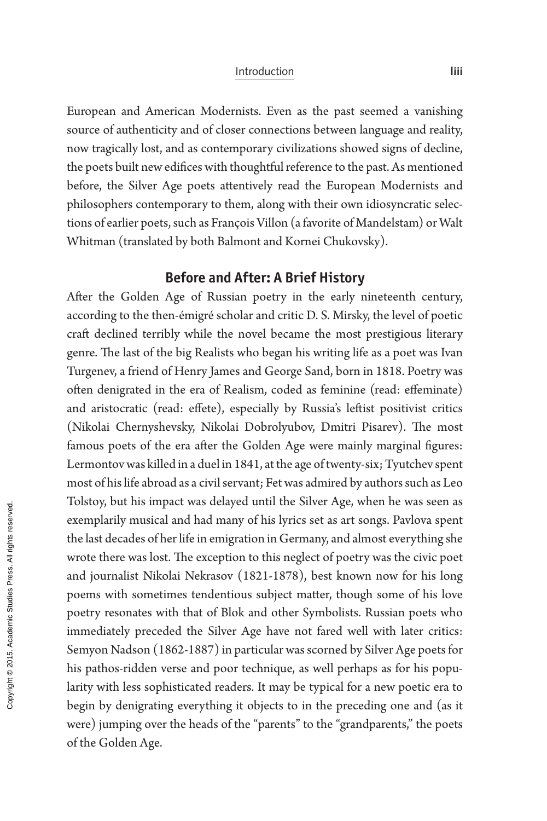#### Introduction **liii**

European and American Modernists. Even as the past seemed a vanishing source of authenticity and of closer connections between language and reality, now tragically lost, and as contemporary civilizations showed signs of decline, the poets built new edifices with thoughtful reference to the past. As mentioned before, the Silver Age poets attentively read the European Modernists and philosophers contemporary to them, along with their own idiosyncratic selections of earlier poets, such as François Villon (a favorite of Mandelstam) or Walt Whitman (translated by both Balmont and Kornei Chukovsky).

# **Before and After: A Brief History**

After the Golden Age of Russian poetry in the early nineteenth century, according to the then-émigré scholar and critic D. S. Mirsky, the level of poetic craft declined terribly while the novel became the most prestigious literary genre. The last of the big Realists who began his writing life as a poet was Ivan Turgenev, a friend of Henry James and George Sand, born in 1818. Poetry was often denigrated in the era of Realism, coded as feminine (read: effeminate) and aristocratic (read: effete), especially by Russia's leftist positivist critics (Nikolai Chernyshevsky, Nikolai Dobrolyubov, Dmitri Pisarev). The most famous poets of the era after the Golden Age were mainly marginal figures: Lermontov was killed in a duel in 1841, at the age of twenty-six; Tyutchev spent most of his life abroad as a civil servant; Fet was admired by authors such as Leo Tolstoy, but his impact was delayed until the Silver Age, when he was seen as exemplarily musical and had many of his lyrics set as art songs. Pavlova spent the last decades of her life in emigration in Germany, and almost everything she wrote there was lost. The exception to this neglect of poetry was the civic poet and journalist Nikolai Nekrasov (1821-1878), best known now for his long poems with sometimes tendentious subject matter, though some of his love poetry resonates with that of Blok and other Symbolists. Russian poets who immediately preceded the Silver Age have not fared well with later critics: Semyon Nadson (1862-1887) in particular was scorned by Silver Age poets for his pathos-ridden verse and poor technique, as well perhaps as for his popularity with less sophisticated readers. It may be typical for a new poetic era to begin by denigrating everything it objects to in the preceding one and (as it were) jumping over the heads of the "parents" to the "grandparents," the poets of the Golden Age.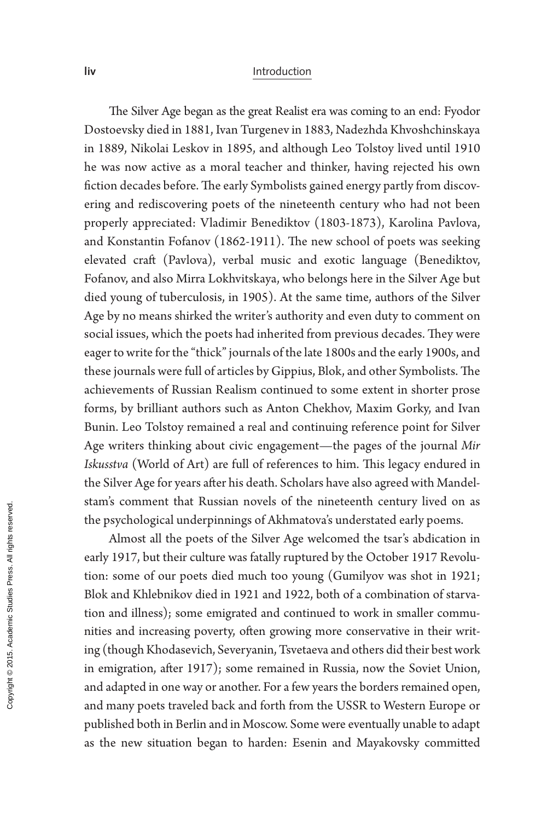#### **liv** Introduction

The Silver Age began as the great Realist era was coming to an end: Fyodor Dostoevsky died in 1881, Ivan Turgenev in 1883, Nadezhda Khvoshchinskaya in 1889, Nikolai Leskov in 1895, and although Leo Tolstoy lived until 1910 he was now active as a moral teacher and thinker, having rejected his own fiction decades before. The early Symbolists gained energy partly from discovering and rediscovering poets of the nineteenth century who had not been properly appreciated: Vladimir Benediktov (1803-1873), Karolina Pavlova, and Konstantin Fofanov (1862-1911). The new school of poets was seeking elevated craft (Pavlova), verbal music and exotic language (Benediktov, Fofanov, and also Mirra Lokhvitskaya, who belongs here in the Silver Age but died young of tuberculosis, in 1905). At the same time, authors of the Silver Age by no means shirked the writer's authority and even duty to comment on social issues, which the poets had inherited from previous decades. They were eager to write for the "thick" journals of the late 1800s and the early 1900s, and these journals were full of articles by Gippius, Blok, and other Symbolists. The achievements of Russian Realism continued to some extent in shorter prose forms, by brilliant authors such as Anton Chekhov, Maxim Gorky, and Ivan Bunin. Leo Tolstoy remained a real and continuing reference point for Silver Age writers thinking about civic engagement—the pages of the journal *Mir Iskusstva* (World of Art) are full of references to him. This legacy endured in the Silver Age for years after his death. Scholars have also agreed with Mandelstam's comment that Russian novels of the nineteenth century lived on as the psychological underpinnings of Akhmatova's understated early poems.

Almost all the poets of the Silver Age welcomed the tsar's abdication in early 1917, but their culture was fatally ruptured by the October 1917 Revolution: some of our poets died much too young (Gumilyov was shot in 1921; Blok and Khlebnikov died in 1921 and 1922, both of a combination of starvation and illness); some emigrated and continued to work in smaller communities and increasing poverty, often growing more conservative in their writing (though Khodasevich, Severyanin, Tsvetaeva and others did their best work in emigration, after 1917); some remained in Russia, now the Soviet Union, and adapted in one way or another. For a few years the borders remained open, and many poets traveled back and forth from the USSR to Western Europe or published both in Berlin and in Moscow. Some were eventually unable to adapt as the new situation began to harden: Esenin and Mayakovsky committed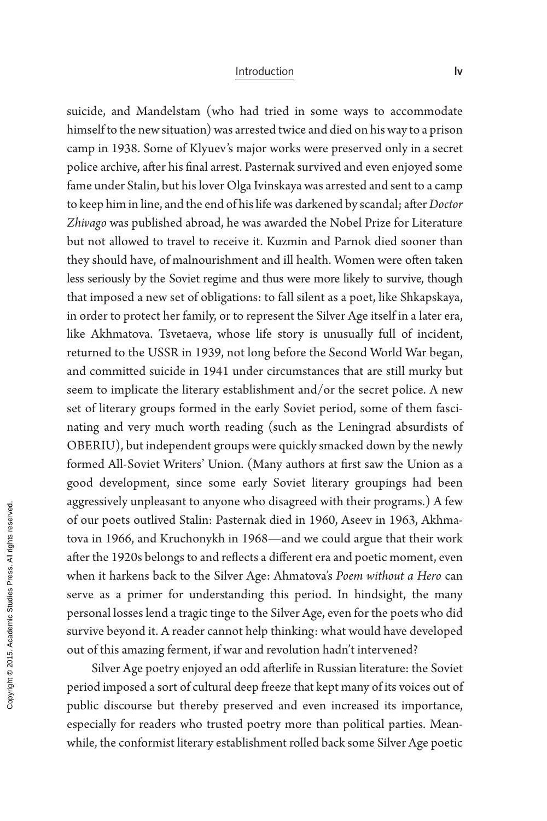#### Introduction **lv**

suicide, and Mandelstam (who had tried in some ways to accommodate himself to the new situation) was arrested twice and died on his way to a prison camp in 1938. Some of Klyuev's major works were preserved only in a secret police archive, after his final arrest. Pasternak survived and even enjoyed some fame under Stalin, but his lover Olga Ivinskaya was arrested and sent to a camp to keep him in line, and the end of his life was darkened by scandal; after *Doctor Zhivago* was published abroad, he was awarded the Nobel Prize for Literature but not allowed to travel to receive it. Kuzmin and Parnok died sooner than they should have, of malnourishment and ill health. Women were often taken less seriously by the Soviet regime and thus were more likely to survive, though that imposed a new set of obligations: to fall silent as a poet, like Shkapskaya, in order to protect her family, or to represent the Silver Age itself in a later era, like Akhmatova. Tsvetaeva, whose life story is unusually full of incident, returned to the USSR in 1939, not long before the Second World War began, and committed suicide in 1941 under circumstances that are still murky but seem to implicate the literary establishment and/or the secret police. A new set of literary groups formed in the early Soviet period, some of them fascinating and very much worth reading (such as the Leningrad absurdists of OBERIU), but independent groups were quickly smacked down by the newly formed All-Soviet Writers' Union. (Many authors at first saw the Union as a good development, since some early Soviet literary groupings had been aggressively unpleasant to anyone who disagreed with their programs.) A few of our poets outlived Stalin: Pasternak died in 1960, Aseev in 1963, Akhmatova in 1966, and Kruchonykh in 1968—and we could argue that their work after the 1920s belongs to and reflects a different era and poetic moment, even when it harkens back to the Silver Age: Ahmatova's *Poem without a Hero* can serve as a primer for understanding this period. In hindsight, the many personal losses lend a tragic tinge to the Silver Age, even for the poets who did survive beyond it. A reader cannot help thinking: what would have developed out of this amazing ferment, if war and revolution hadn't intervened?

Silver Age poetry enjoyed an odd afterlife in Russian literature: the Soviet period imposed a sort of cultural deep freeze that kept many of its voices out of public discourse but thereby preserved and even increased its importance, especially for readers who trusted poetry more than political parties. Meanwhile, the conformist literary establishment rolled back some Silver Age poetic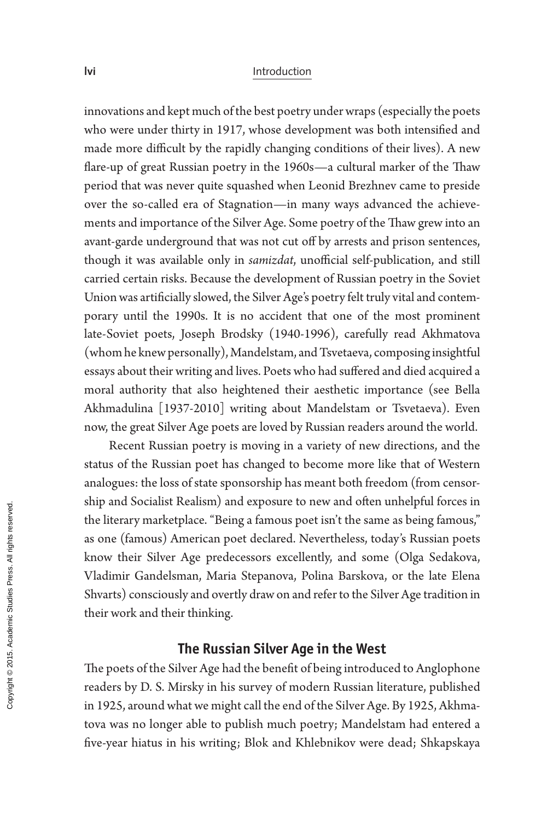innovations and kept much of the best poetry under wraps (especially the poets who were under thirty in 1917, whose development was both intensified and made more difficult by the rapidly changing conditions of their lives). A new flare-up of great Russian poetry in the 1960s—a cultural marker of the Thaw period that was never quite squashed when Leonid Brezhnev came to preside over the so-called era of Stagnation—in many ways advanced the achievements and importance of the Silver Age. Some poetry of the Thaw grew into an avant-garde underground that was not cut off by arrests and prison sentences, though it was available only in *samizdat*, unofficial self-publication, and still carried certain risks. Because the development of Russian poetry in the Soviet Union was artificially slowed, the Silver Age's poetry felt truly vital and contemporary until the 1990s. It is no accident that one of the most prominent late-Soviet poets, Joseph Brodsky (1940-1996), carefully read Akhmatova (whom he knew personally), Mandelstam, and Tsvetaeva, composing insightful essays about their writing and lives. Poets who had suffered and died acquired a moral authority that also heightened their aesthetic importance (see Bella Akhmadulina [1937-2010] writing about Mandelstam or Tsvetaeva). Even now, the great Silver Age poets are loved by Russian readers around the world.

Recent Russian poetry is moving in a variety of new directions, and the status of the Russian poet has changed to become more like that of Western analogues: the loss of state sponsorship has meant both freedom (from censorship and Socialist Realism) and exposure to new and often unhelpful forces in the literary marketplace. "Being a famous poet isn't the same as being famous," as one (famous) American poet declared. Nevertheless, today's Russian poets know their Silver Age predecessors excellently, and some (Olga Sedakova, Vladimir Gandelsman, Maria Stepanova, Polina Barskova, or the late Elena Shvarts) consciously and overtly draw on and refer to the Silver Age tradition in their work and their thinking.

# **The Russian Silver Age in the West**

The poets of the Silver Age had the benefit of being introduced to Anglophone readers by D. S. Mirsky in his survey of modern Russian literature, published in 1925, around what we might call the end of the Silver Age. By 1925, Akhmatova was no longer able to publish much poetry; Mandelstam had entered a five-year hiatus in his writing; Blok and Khlebnikov were dead; Shkapskaya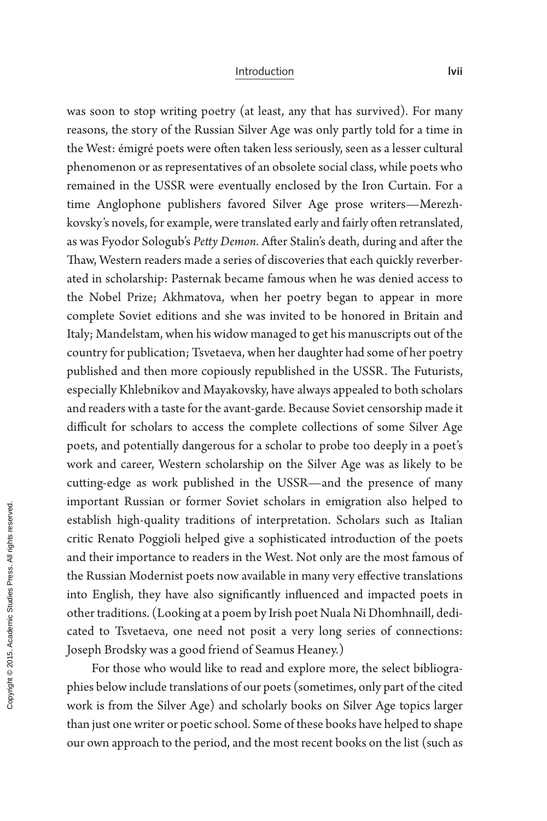#### Introduction **lvii**

was soon to stop writing poetry (at least, any that has survived). For many reasons, the story of the Russian Silver Age was only partly told for a time in the West: émigré poets were often taken less seriously, seen as a lesser cultural phenomenon or as representatives of an obsolete social class, while poets who remained in the USSR were eventually enclosed by the Iron Curtain. For a time Anglophone publishers favored Silver Age prose writers—Merezhkovsky's novels, for example, were translated early and fairly often retranslated, as was Fyodor Sologub's *Petty Demon*. After Stalin's death, during and after the Thaw, Western readers made a series of discoveries that each quickly reverberated in scholarship: Pasternak became famous when he was denied access to the Nobel Prize; Akhmatova, when her poetry began to appear in more complete Soviet editions and she was invited to be honored in Britain and Italy; Mandelstam, when his widow managed to get his manuscripts out of the country for publication; Tsvetaeva, when her daughter had some of her poetry published and then more copiously republished in the USSR. The Futurists, especially Khlebnikov and Mayakovsky, have always appealed to both scholars and readers with a taste for the avant-garde. Because Soviet censorship made it difficult for scholars to access the complete collections of some Silver Age poets, and potentially dangerous for a scholar to probe too deeply in a poet's work and career, Western scholarship on the Silver Age was as likely to be cutting-edge as work published in the USSR—and the presence of many important Russian or former Soviet scholars in emigration also helped to establish high-quality traditions of interpretation. Scholars such as Italian critic Renato Poggioli helped give a sophisticated introduction of the poets and their importance to readers in the West. Not only are the most famous of the Russian Modernist poets now available in many very effective translations into English, they have also significantly influenced and impacted poets in other traditions. (Looking at a poem by Irish poet Nuala Ni Dhomhnaill, dedicated to Tsvetaeva, one need not posit a very long series of connections: Joseph Brodsky was a good friend of Seamus Heaney.)

For those who would like to read and explore more, the select bibliographies below include translations of our poets (sometimes, only part of the cited work is from the Silver Age) and scholarly books on Silver Age topics larger than just one writer or poetic school. Some of these books have helped to shape our own approach to the period, and the most recent books on the list (such as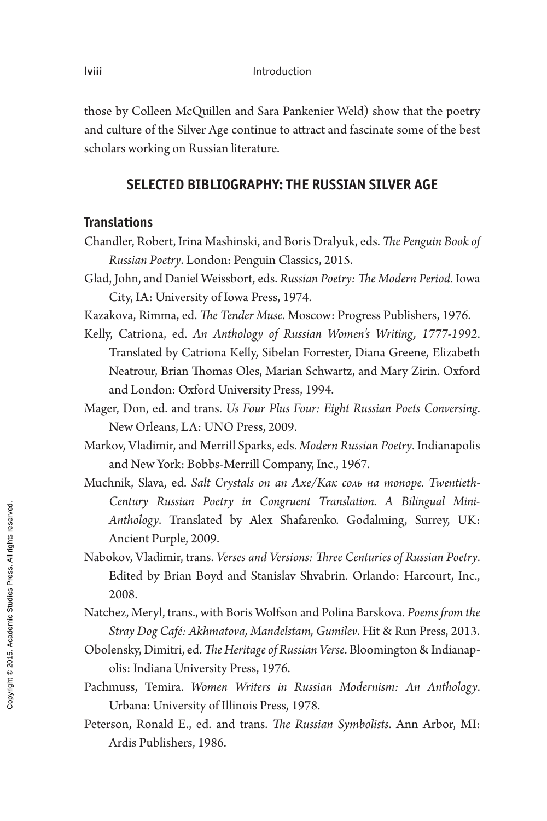those by Colleen McQuillen and Sara Pankenier Weld) show that the poetry and culture of the Silver Age continue to attract and fascinate some of the best scholars working on Russian literature.

# **SELECTED BIBLIOGRAPHY: THE RUSSIAN SILVER AGE**

## **Translations**

- Chandler, Robert, Irina Mashinski, and Boris Dralyuk, eds. *The Penguin Book of Russian Poetry*. London: Penguin Classics, 2015.
- Glad, John, and Daniel Weissbort, eds. *Russian Poetry: The Modern Period*. Iowa City, IA: University of Iowa Press, 1974.
- Kazakova, Rimma, ed. *The Tender Muse*. Moscow: Progress Publishers, 1976.
- Kelly, Catriona, ed. *An Anthology of Russian Women's Writing, 1777-1992*. Translated by Catriona Kelly, Sibelan Forrester, Diana Greene, Elizabeth Neatrour, Brian Thomas Oles, Marian Schwartz, and Mary Zirin. Oxford and London: Oxford University Press, 1994.
- Mager, Don, ed. and trans. *Us Four Plus Four: Eight Russian Poets Conversing*. New Orleans, LA: UNO Press, 2009.
- Markov, Vladimir, and Merrill Sparks, eds. *Modern Russian Poetry*. Indianapolis and New York: Bobbs-Merrill Company, Inc., 1967.
- Muchnik, Slava, ed. *Salt Crystals on an Axe/Как соль на топоре. Twentieth-Century Russian Poetry in Congruent Translation. A Bilingual Mini-Anthology*. Translated by Alex Shafarenko. Godalming, Surrey, UK: Ancient Purple, 2009.
- Nabokov, Vladimir, trans. *Verses and Versions: Three Centuries of Russian Poetry*. Edited by Brian Boyd and Stanislav Shvabrin. Orlando: Harcourt, Inc., 2008.
- Natchez, Meryl, trans., with Boris Wolfson and Polina Barskova. *Poems from the Stray Dog Café: Akhmatova, Mandelstam, Gumilev*. Hit & Run Press, 2013.
- Obolensky, Dimitri, ed. *The Heritage of Russian Verse*. Bloomington & Indianapolis: Indiana University Press, 1976.
- Pachmuss, Temira. *Women Writers in Russian Modernism: An Anthology*. Urbana: University of Illinois Press, 1978.
- Peterson, Ronald E., ed. and trans. *The Russian Symbolists*. Ann Arbor, MI: Ardis Publishers, 1986.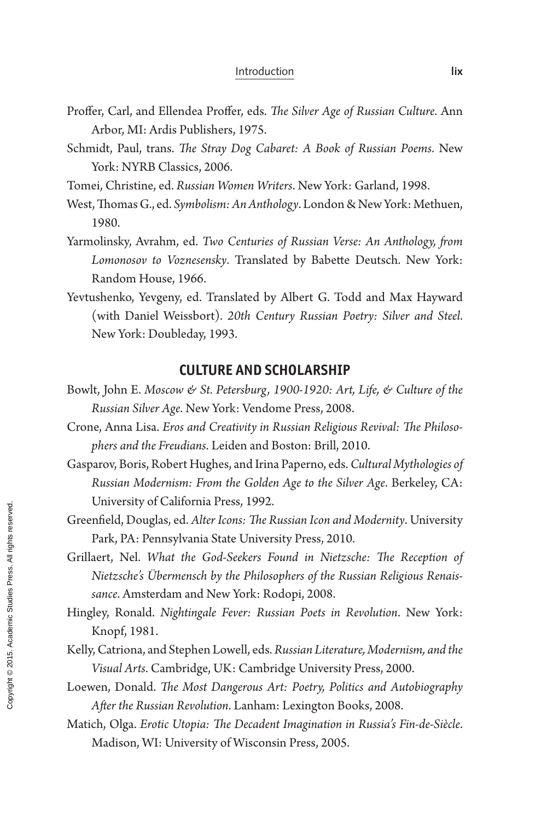- Proffer, Carl, and Ellendea Proffer, eds. *The Silver Age of Russian Culture*. Ann Arbor, MI: Ardis Publishers, 1975.
- Schmidt, Paul, trans. *The Stray Dog Cabaret: A Book of Russian Poems*. New York: NYRB Classics, 2006.
- Tomei, Christine, ed. *Russian Women Writers*. New York: Garland, 1998.
- West, Thomas G., ed. *Symbolism: An Anthology*. London & New York: Methuen, 1980.
- Yarmolinsky, Avrahm, ed. *Two Centuries of Russian Verse: An Anthology, from Lomonosov to Voznesensky*. Translated by Babette Deutsch. New York: Random House, 1966.
- Yevtushenko, Yevgeny, ed. Translated by Albert G. Todd and Max Hayward (with Daniel Weissbort). *20th Century Russian Poetry: Silver and Steel*. New York: Doubleday, 1993.

### **CULTURE AND SCHOLARSHIP**

- Bowlt, John E. *Moscow & St. Petersburg, 1900-1920: Art, Life, & Culture of the Russian Silver Age*. New York: Vendome Press, 2008.
- Crone, Anna Lisa. *Eros and Creativity in Russian Religious Revival: The Philosophers and the Freudians*. Leiden and Boston: Brill, 2010.
- Gasparov, Boris, Robert Hughes, and Irina Paperno, eds. *Cultural Mythologies of Russian Modernism: From the Golden Age to the Silver Age*. Berkeley, CA: University of California Press, 1992.
- Greenfield, Douglas, ed. *Alter Icons: The Russian Icon and Modernity*. University Park, PA: Pennsylvania State University Press, 2010.
- Grillaert, Nel. *What the God-Seekers Found in Nietzsche: The Reception of Nietzsche's Übermensch by the Philosophers of the Russian Religious Renaissance*. Amsterdam and New York: Rodopi, 2008.
- Hingley, Ronald. *Nightingale Fever: Russian Poets in Revolution*. New York: Knopf, 1981.
- Kelly, Catriona, and Stephen Lowell, eds. *Russian Literature, Modernism, and the Visual Arts*. Cambridge, UK: Cambridge University Press, 2000.
- Loewen, Donald. *The Most Dangerous Art: Poetry, Politics and Autobiography After the Russian Revolution*. Lanham: Lexington Books, 2008.
- Matich, Olga. *Erotic Utopia: The Decadent Imagination in Russia's Fin-de-Siècle*. Madison, WI: University of Wisconsin Press, 2005.